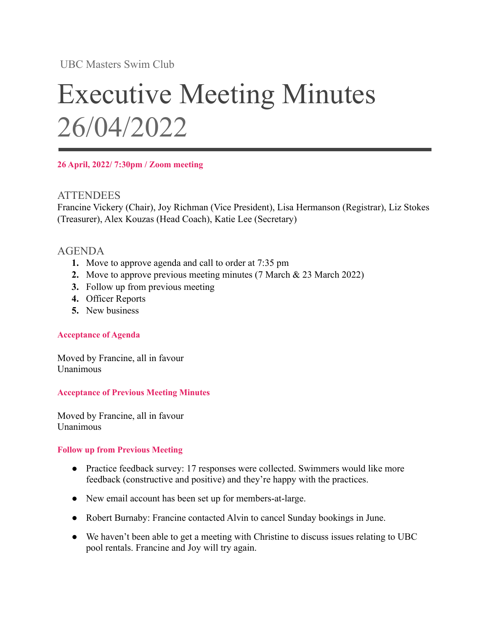UBC Masters Swim Club

# Executive Meeting Minutes 26/04/2022

**26 April, 2022/ 7:30pm / Zoom meeting**

# **ATTENDEES**

Francine Vickery (Chair), Joy Richman (Vice President), Lisa Hermanson (Registrar), Liz Stokes (Treasurer), Alex Kouzas (Head Coach), Katie Lee (Secretary)

# AGENDA

- **1.** Move to approve agenda and call to order at 7:35 pm
- **2.** Move to approve previous meeting minutes (7 March & 23 March 2022)
- **3.** Follow up from previous meeting
- **4.** Officer Reports
- **5.** New business

## **Acceptance of Agenda**

Moved by Francine, all in favour Unanimous

**Acceptance of Previous Meeting Minutes**

Moved by Francine, all in favour Unanimous

## **Follow up from Previous Meeting**

- Practice feedback survey: 17 responses were collected. Swimmers would like more feedback (constructive and positive) and they're happy with the practices.
- New email account has been set up for members-at-large.
- Robert Burnaby: Francine contacted Alvin to cancel Sunday bookings in June.
- We haven't been able to get a meeting with Christine to discuss issues relating to UBC pool rentals. Francine and Joy will try again.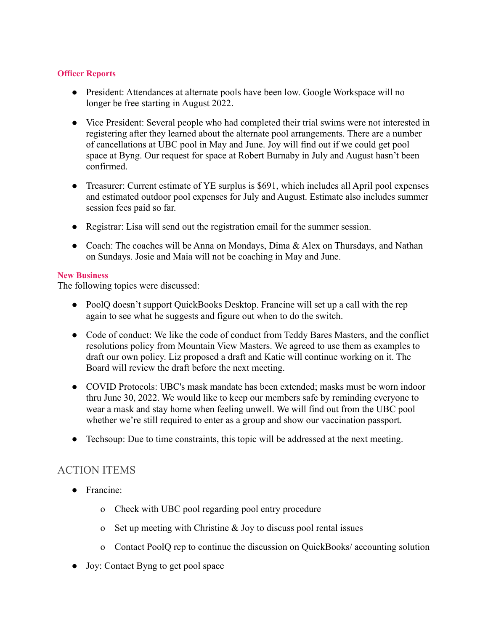#### **Officer Reports**

- President: Attendances at alternate pools have been low. Google Workspace will no longer be free starting in August 2022.
- Vice President: Several people who had completed their trial swims were not interested in registering after they learned about the alternate pool arrangements. There are a number of cancellations at UBC pool in May and June. Joy will find out if we could get pool space at Byng. Our request for space at Robert Burnaby in July and August hasn't been confirmed.
- Treasurer: Current estimate of YE surplus is \$691, which includes all April pool expenses and estimated outdoor pool expenses for July and August. Estimate also includes summer session fees paid so far.
- Registrar: Lisa will send out the registration email for the summer session.
- Coach: The coaches will be Anna on Mondays, Dima & Alex on Thursdays, and Nathan on Sundays. Josie and Maia will not be coaching in May and June.

#### **New Business**

The following topics were discussed:

- PoolQ doesn't support QuickBooks Desktop. Francine will set up a call with the rep again to see what he suggests and figure out when to do the switch.
- Code of conduct: We like the code of conduct from Teddy Bares Masters, and the conflict resolutions policy from Mountain View Masters. We agreed to use them as examples to draft our own policy. Liz proposed a draft and Katie will continue working on it. The Board will review the draft before the next meeting.
- COVID Protocols: UBC's mask mandate has been extended; masks must be worn indoor thru June 30, 2022. We would like to keep our members safe by reminding everyone to wear a mask and stay home when feeling unwell. We will find out from the UBC pool whether we're still required to enter as a group and show our vaccination passport.
- Techsoup: Due to time constraints, this topic will be addressed at the next meeting.

## ACTION ITEMS

- Francine:
	- o Check with UBC pool regarding pool entry procedure
	- o Set up meeting with Christine & Joy to discuss pool rental issues
	- o Contact PoolQ rep to continue the discussion on QuickBooks/ accounting solution
- Joy: Contact Byng to get pool space